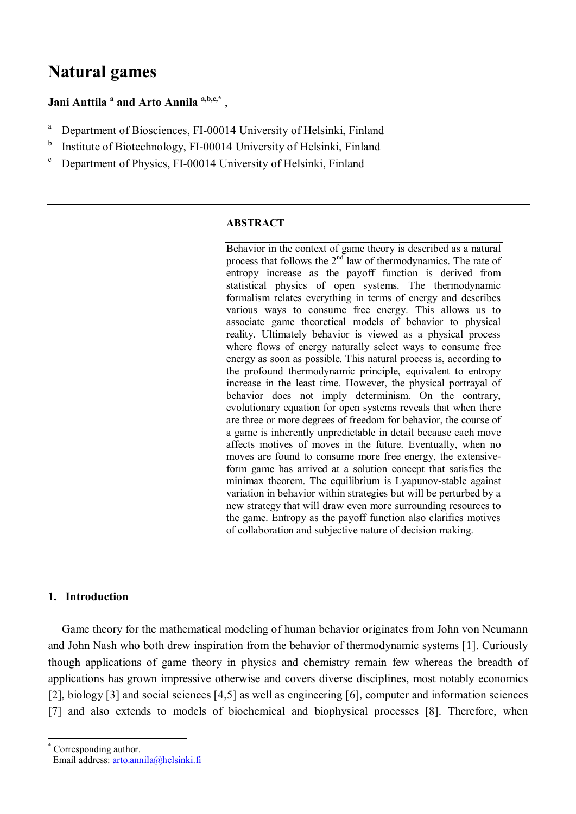# **Natural games**

# **Jani Anttila <sup>a</sup> and Arto Annila <sup>a,b,c,\*</sup>,**

- a Department of Biosciences, FI-00014 University of Helsinki, Finland
- b Institute of Biotechnology, FI-00014 University of Helsinki, Finland
- c Department of Physics, FI-00014 University of Helsinki, Finland

#### **ABSTRACT**

Behavior in the context of game theory is described as a natural process that follows the  $2<sup>nd</sup>$  law of thermodynamics. The rate of entropy increase as the payoff function is derived from statistical physics of open systems. The thermodynamic formalism relates everything in terms of energy and describes various ways to consume free energy. This allows us to associate game theoretical models of behavior to physical reality. Ultimately behavior is viewed as a physical process where flows of energy naturally select ways to consume free energy as soon as possible. This natural process is, according to the profound thermodynamic principle, equivalent to entropy increase in the least time. However, the physical portrayal of behavior does not imply determinism. On the contrary, evolutionary equation for open systems reveals that when there are three or more degrees of freedom for behavior, the course of a game is inherently unpredictable in detail because each move affects motives of moves in the future. Eventually, when no moves are found to consume more free energy, the extensiveform game has arrived at a solution concept that satisfies the minimax theorem. The equilibrium is Lyapunov-stable against variation in behavior within strategies but will be perturbed by a new strategy that will draw even more surrounding resources to the game. Entropy as the payoff function also clarifies motives of collaboration and subjective nature of decision making.

### **1. Introduction \***

Game theory for the mathematical modeling of human behavior originates from John von Neumann and John Nash who both drew inspiration from the behavior of thermodynamic systems [1]. Curiously though applications of game theory in physics and chemistry remain few whereas the breadth of applications has grown impressive otherwise and covers diverse disciplines, most notably economics [2], biology [3] and social sciences [4,5] as well as engineering [6], computer and information sciences [7] and also extends to models of biochemical and biophysical processes [8]. Therefore, when

<sup>\*</sup> Corresponding author.

Email address: arto.annila@helsinki.fi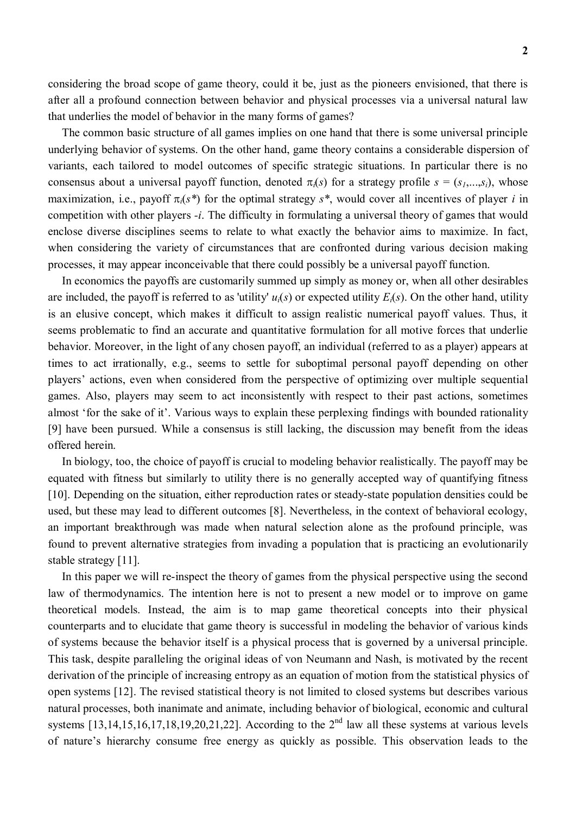considering the broad scope of game theory, could it be, just as the pioneers envisioned, that there is after all a profound connection between behavior and physical processes via a universal natural law that underlies the model of behavior in the many forms of games?

The common basic structure of all games implies on one hand that there is some universal principle underlying behavior of systems. On the other hand, game theory contains a considerable dispersion of variants, each tailored to model outcomes of specific strategic situations. In particular there is no consensus about a universal payoff function, denoted  $\pi_i(s)$  for a strategy profile  $s = (s_1, \ldots, s_i)$ , whose maximization, i.e., payoff  $\pi_i(s^*)$  for the optimal strategy  $s^*$ , would cover all incentives of player *i* in competition with other players *-i*. The difficulty in formulating a universal theory of games that would enclose diverse disciplines seems to relate to what exactly the behavior aims to maximize. In fact, when considering the variety of circumstances that are confronted during various decision making processes, it may appear inconceivable that there could possibly be a universal payoff function.

In economics the payoffs are customarily summed up simply as money or, when all other desirables are included, the payoff is referred to as 'utility'  $u_i(s)$  or expected utility  $E_i(s)$ . On the other hand, utility is an elusive concept, which makes it difficult to assign realistic numerical payoff values. Thus, it seems problematic to find an accurate and quantitative formulation for all motive forces that underlie behavior. Moreover, in the light of any chosen payoff, an individual (referred to as a player) appears at times to act irrationally, e.g., seems to settle for suboptimal personal payoff depending on other players' actions, even when considered from the perspective of optimizing over multiple sequential games. Also, players may seem to act inconsistently with respect to their past actions, sometimes almost 'for the sake of it'. Various ways to explain these perplexing findings with bounded rationality [9] have been pursued. While a consensus is still lacking, the discussion may benefit from the ideas offered herein.

In biology, too, the choice of payoff is crucial to modeling behavior realistically. The payoff may be equated with fitness but similarly to utility there is no generally accepted way of quantifying fitness [10]. Depending on the situation, either reproduction rates or steady-state population densities could be used, but these may lead to different outcomes [8]. Nevertheless, in the context of behavioral ecology, an important breakthrough was made when natural selection alone as the profound principle, was found to prevent alternative strategies from invading a population that is practicing an evolutionarily stable strategy [11].

In this paper we will re-inspect the theory of games from the physical perspective using the second law of thermodynamics. The intention here is not to present a new model or to improve on game theoretical models. Instead, the aim is to map game theoretical concepts into their physical counterparts and to elucidate that game theory is successful in modeling the behavior of various kinds of systems because the behavior itself is a physical process that is governed by a universal principle. This task, despite paralleling the original ideas of von Neumann and Nash, is motivated by the recent derivation of the principle of increasing entropy as an equation of motion from the statistical physics of open systems [12]. The revised statistical theory is not limited to closed systems but describes various natural processes, both inanimate and animate, including behavior of biological, economic and cultural systems  $[13,14,15,16,17,18,19,20,21,22]$ . According to the  $2<sup>nd</sup>$  law all these systems at various levels of nature's hierarchy consume free energy as quickly as possible. This observation leads to the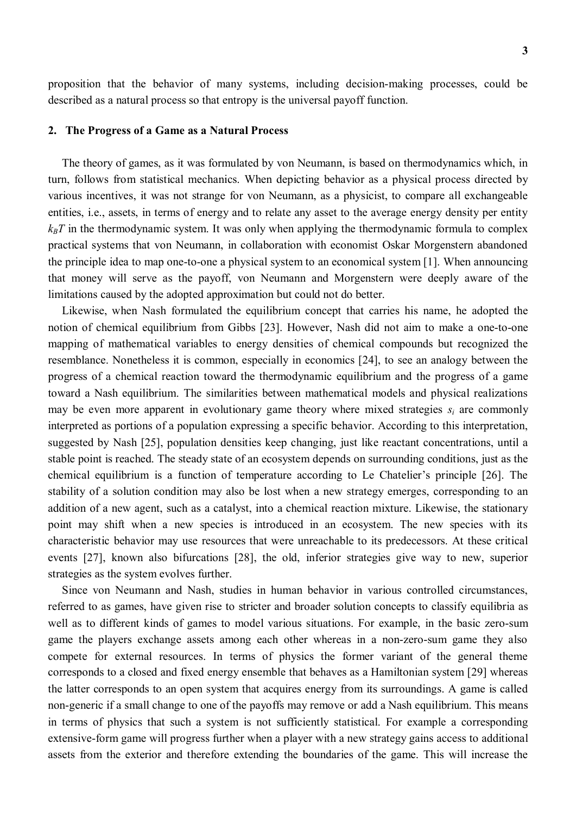proposition that the behavior of many systems, including decision-making processes, could be described as a natural process so that entropy is the universal payoff function.

#### **2. The Progress of a Game as a Natural Process**

The theory of games, as it was formulated by von Neumann, is based on thermodynamics which, in turn, follows from statistical mechanics. When depicting behavior as a physical process directed by various incentives, it was not strange for von Neumann, as a physicist, to compare all exchangeable entities, i.e., assets, in terms of energy and to relate any asset to the average energy density per entity  $k_B T$  in the thermodynamic system. It was only when applying the thermodynamic formula to complex practical systems that von Neumann, in collaboration with economist Oskar Morgenstern abandoned the principle idea to map one-to-one a physical system to an economical system [1]. When announcing that money will serve as the payoff, von Neumann and Morgenstern were deeply aware of the limitations caused by the adopted approximation but could not do better.

Likewise, when Nash formulated the equilibrium concept that carries his name, he adopted the notion of chemical equilibrium from Gibbs [23]. However, Nash did not aim to make a one-to-one mapping of mathematical variables to energy densities of chemical compounds but recognized the resemblance. Nonetheless it is common, especially in economics [24], to see an analogy between the progress of a chemical reaction toward the thermodynamic equilibrium and the progress of a game toward a Nash equilibrium. The similarities between mathematical models and physical realizations may be even more apparent in evolutionary game theory where mixed strategies  $s_i$  are commonly interpreted as portions of a population expressing a specific behavior. According to this interpretation, suggested by Nash [25], population densities keep changing, just like reactant concentrations, until a stable point is reached. The steady state of an ecosystem depends on surrounding conditions, just as the chemical equilibrium is a function of temperature according to Le Chatelier's principle [26]. The stability of a solution condition may also be lost when a new strategy emerges, corresponding to an addition of a new agent, such as a catalyst, into a chemical reaction mixture. Likewise, the stationary point may shift when a new species is introduced in an ecosystem. The new species with its characteristic behavior may use resources that were unreachable to its predecessors. At these critical events [27], known also bifurcations [28], the old, inferior strategies give way to new, superior strategies as the system evolves further.

Since von Neumann and Nash, studies in human behavior in various controlled circumstances, referred to as games, have given rise to stricter and broader solution concepts to classify equilibria as well as to different kinds of games to model various situations. For example, in the basic zero-sum game the players exchange assets among each other whereas in a non-zero-sum game they also compete for external resources. In terms of physics the former variant of the general theme corresponds to a closed and fixed energy ensemble that behaves as a Hamiltonian system [29] whereas the latter corresponds to an open system that acquires energy from its surroundings. A game is called non-generic if a small change to one of the payoffs may remove or add a Nash equilibrium. This means in terms of physics that such a system is not sufficiently statistical. For example a corresponding extensive-form game will progress further when a player with a new strategy gains access to additional assets from the exterior and therefore extending the boundaries of the game. This will increase the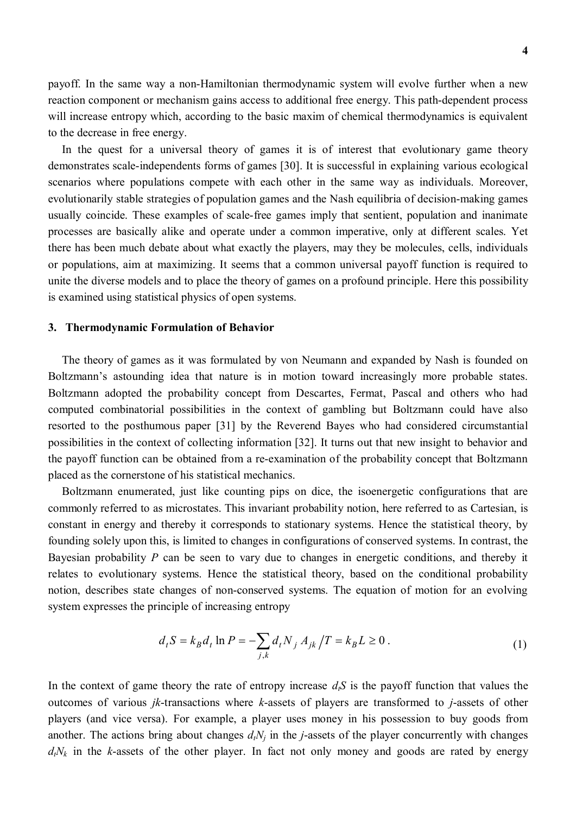**4**

payoff. In the same way a non-Hamiltonian thermodynamic system will evolve further when a new reaction component or mechanism gains access to additional free energy. This path-dependent process will increase entropy which, according to the basic maxim of chemical thermodynamics is equivalent to the decrease in free energy.

In the quest for a universal theory of games it is of interest that evolutionary game theory demonstrates scale-independents forms of games [30]. It is successful in explaining various ecological scenarios where populations compete with each other in the same way as individuals. Moreover, evolutionarily stable strategies of population games and the Nash equilibria of decision-making games usually coincide. These examples of scale-free games imply that sentient, population and inanimate processes are basically alike and operate under a common imperative, only at different scales. Yet there has been much debate about what exactly the players, may they be molecules, cells, individuals or populations, aim at maximizing. It seems that a common universal payoff function is required to unite the diverse models and to place the theory of games on a profound principle. Here this possibility is examined using statistical physics of open systems.

#### **3. Thermodynamic Formulation of Behavior**

The theory of games as it was formulated by von Neumann and expanded by Nash is founded on Boltzmann's astounding idea that nature is in motion toward increasingly more probable states. Boltzmann adopted the probability concept from Descartes, Fermat, Pascal and others who had computed combinatorial possibilities in the context of gambling but Boltzmann could have also resorted to the posthumous paper [31] by the Reverend Bayes who had considered circumstantial possibilities in the context of collecting information [32]. It turns out that new insight to behavior and the payoff function can be obtained from a re-examination of the probability concept that Boltzmann placed as the cornerstone of his statistical mechanics.

Boltzmann enumerated, just like counting pips on dice, the isoenergetic configurations that are commonly referred to as microstates. This invariant probability notion, here referred to as Cartesian, is constant in energy and thereby it corresponds to stationary systems. Hence the statistical theory, by founding solely upon this, is limited to changes in configurations of conserved systems. In contrast, the Bayesian probability *P* can be seen to vary due to changes in energetic conditions, and thereby it relates to evolutionary systems. Hence the statistical theory, based on the conditional probability notion, describes state changes of non-conserved systems. The equation of motion for an evolving system expresses the principle of increasing entropy

$$
d_t S = k_B d_t \ln P = -\sum_{j,k} d_t N_j A_{jk} / T = k_B L \ge 0.
$$
 (1)

In the context of game theory the rate of entropy increase  $d_i S$  is the payoff function that values the outcomes of various *jk*-transactions where *k*-assets of players are transformed to *j*-assets of other players (and vice versa). For example, a player uses money in his possession to buy goods from another. The actions bring about changes  $d_tN_i$  in the *j*-assets of the player concurrently with changes  $d_tN_k$  in the *k*-assets of the other player. In fact not only money and goods are rated by energy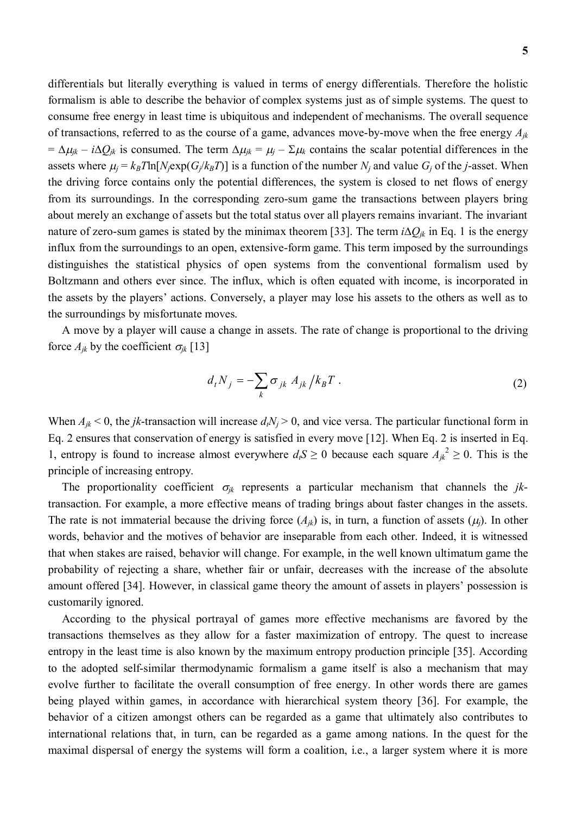differentials but literally everything is valued in terms of energy differentials. Therefore the holistic formalism is able to describe the behavior of complex systems just as of simple systems. The quest to consume free energy in least time is ubiquitous and independent of mechanisms. The overall sequence of transactions, referred to as the course of a game, advances move-by-move when the free energy *Ajk*  $= \Delta \mu_{jk} - i \Delta Q_{jk}$  is consumed. The term  $\Delta \mu_{jk} = \mu_j - \Sigma \mu_k$  contains the scalar potential differences in the assets where  $\mu_i = k_B T \ln[N_i \exp(G_i / k_B T)]$  is a function of the number  $N_i$  and value  $G_i$  of the *j*-asset. When the driving force contains only the potential differences, the system is closed to net flows of energy from its surroundings. In the corresponding zero-sum game the transactions between players bring about merely an exchange of assets but the total status over all players remains invariant. The invariant nature of zero-sum games is stated by the minimax theorem [33]. The term  $i\Delta Q_{ik}$  in Eq. 1 is the energy influx from the surroundings to an open, extensive-form game. This term imposed by the surroundings distinguishes the statistical physics of open systems from the conventional formalism used by Boltzmann and others ever since. The influx, which is often equated with income, is incorporated in the assets by the players' actions. Conversely, a player may lose his assets to the others as well as to the surroundings by misfortunate moves.

A move by a player will cause a change in assets. The rate of change is proportional to the driving force  $A_{jk}$  by the coefficient  $\sigma_{jk}$  [13]

$$
d_t N_j = -\sum_k \sigma_{jk} A_{jk} / k_B T \tag{2}
$$

When  $A_{ik}$  < 0, the *jk*-transaction will increase  $d_iN_j$  > 0, and vice versa. The particular functional form in Eq. 2 ensures that conservation of energy is satisfied in every move [12]. When Eq. 2 is inserted in Eq. 1, entropy is found to increase almost everywhere  $d_i S \ge 0$  because each square  $A_{jk}^2 \ge 0$ . This is the principle of increasing entropy.

The proportionality coefficient  $\sigma_{ik}$  represents a particular mechanism that channels the *jk*transaction. For example, a more effective means of trading brings about faster changes in the assets. The rate is not immaterial because the driving force  $(A_{ik})$  is, in turn, a function of assets  $(\mu_i)$ . In other words, behavior and the motives of behavior are inseparable from each other. Indeed, it is witnessed that when stakes are raised, behavior will change. For example, in the well known ultimatum game the probability of rejecting a share, whether fair or unfair, decreases with the increase of the absolute amount offered [34]. However, in classical game theory the amount of assets in players' possession is customarily ignored.

According to the physical portrayal of games more effective mechanisms are favored by the transactions themselves as they allow for a faster maximization of entropy. The quest to increase entropy in the least time is also known by the maximum entropy production principle [35]. According to the adopted self-similar thermodynamic formalism a game itself is also a mechanism that may evolve further to facilitate the overall consumption of free energy. In other words there are games being played within games, in accordance with hierarchical system theory [36]. For example, the behavior of a citizen amongst others can be regarded as a game that ultimately also contributes to international relations that, in turn, can be regarded as a game among nations. In the quest for the maximal dispersal of energy the systems will form a coalition, i.e., a larger system where it is more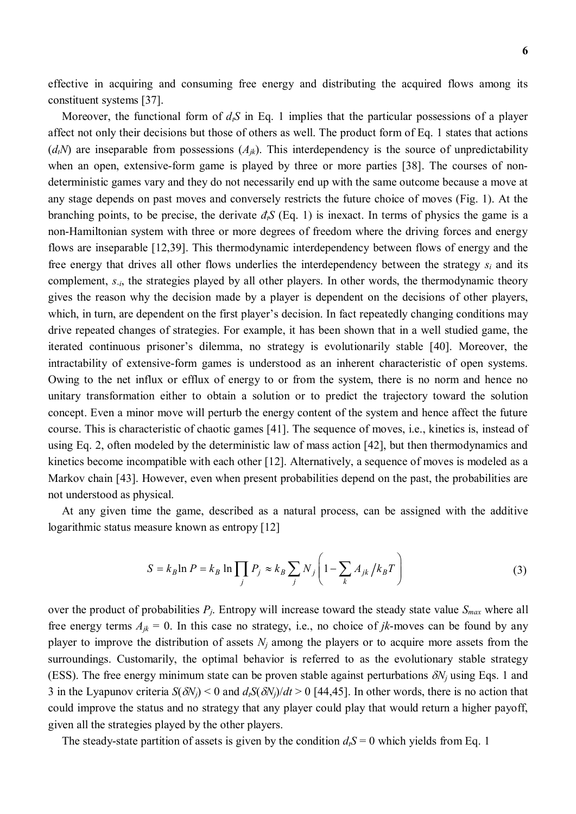effective in acquiring and consuming free energy and distributing the acquired flows among its constituent systems [37].

Moreover, the functional form of  $d_tS$  in Eq. 1 implies that the particular possessions of a player affect not only their decisions but those of others as well. The product form of Eq. 1 states that actions  $(d<sub>t</sub>N)$  are inseparable from possessions  $(A<sub>ik</sub>)$ . This interdependency is the source of unpredictability when an open, extensive-form game is played by three or more parties [38]. The courses of nondeterministic games vary and they do not necessarily end up with the same outcome because a move at any stage depends on past moves and conversely restricts the future choice of moves (Fig. 1). At the branching points, to be precise, the derivate  $d_i S$  (Eq. 1) is inexact. In terms of physics the game is a non-Hamiltonian system with three or more degrees of freedom where the driving forces and energy flows are inseparable [12,39]. This thermodynamic interdependency between flows of energy and the free energy that drives all other flows underlies the interdependency between the strategy *si* and its complement, *s<sub>-i</sub>*, the strategies played by all other players. In other words, the thermodynamic theory gives the reason why the decision made by a player is dependent on the decisions of other players, which, in turn, are dependent on the first player's decision. In fact repeatedly changing conditions may drive repeated changes of strategies. For example, it has been shown that in a well studied game, the iterated continuous prisoner's dilemma, no strategy is evolutionarily stable [40]. Moreover, the intractability of extensive-form games is understood as an inherent characteristic of open systems. Owing to the net influx or efflux of energy to or from the system, there is no norm and hence no unitary transformation either to obtain a solution or to predict the trajectory toward the solution concept. Even a minor move will perturb the energy content of the system and hence affect the future course. This is characteristic of chaotic games [41]. The sequence of moves, i.e., kinetics is, instead of using Eq. 2, often modeled by the deterministic law of mass action [42], but then thermodynamics and kinetics become incompatible with each other [12]. Alternatively, a sequence of moves is modeled as a Markov chain [43]. However, even when present probabilities depend on the past, the probabilities are not understood as physical.

At any given time the game, described as a natural process, can be assigned with the additive logarithmic status measure known as entropy [12]

$$
S = k_B \ln P = k_B \ln \prod_j P_j \approx k_B \sum_j N_j \left( 1 - \sum_k A_{jk} / k_B T \right)
$$
 (3)

over the product of probabilities  $P_i$ . Entropy will increase toward the steady state value  $S_{max}$  where all free energy terms  $A_{jk} = 0$ . In this case no strategy, i.e., no choice of *jk*-moves can be found by any player to improve the distribution of assets  $N_i$  among the players or to acquire more assets from the surroundings. Customarily, the optimal behavior is referred to as the evolutionary stable strategy (ESS). The free energy minimum state can be proven stable against perturbations  $\delta N_i$  using Eqs. 1 and 3 in the Lyapunov criteria  $S(\delta N_i)$  < 0 and  $d_i S(\delta N_i)/dt > 0$  [44,45]. In other words, there is no action that could improve the status and no strategy that any player could play that would return a higher payoff, given all the strategies played by the other players.

The steady-state partition of assets is given by the condition  $d_tS = 0$  which yields from Eq. 1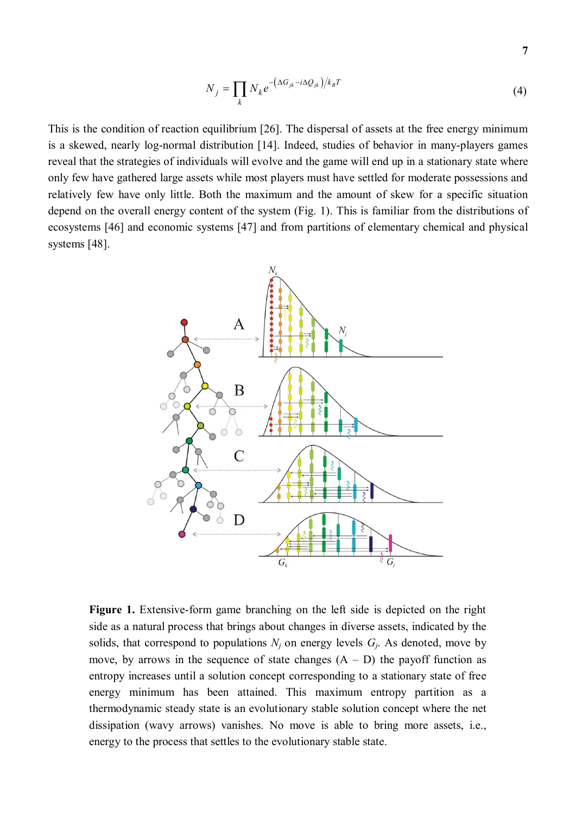$$
N_j = \prod_k N_k e^{-\left(\Delta G_{jk} - i\Delta Q_{jk}\right)/k_B T}
$$
\n(4)

This is the condition of reaction equilibrium [26]. The dispersal of assets at the free energy minimum is a skewed, nearly log-normal distribution [14]. Indeed, studies of behavior in many-players games reveal that the strategies of individuals will evolve and the game will end up in a stationary state where only few have gathered large assets while most players must have settled for moderate possessions and relatively few have only little. Both the maximum and the amount of skew for a specific situation depend on the overall energy content of the system (Fig. 1). This is familiar from the distributions of ecosystems [46] and economic systems [47] and from partitions of elementary chemical and physical systems [48].



**Figure 1.** Extensive-form game branching on the left side is depicted on the right side as a natural process that brings about changes in diverse assets, indicated by the solids, that correspond to populations  $N_i$  on energy levels  $G_i$ . As denoted, move by move, by arrows in the sequence of state changes  $(A - D)$  the payoff function as entropy increases until a solution concept corresponding to a stationary state of free energy minimum has been attained. This maximum entropy partition as a thermodynamic steady state is an evolutionary stable solution concept where the net dissipation (wavy arrows) vanishes. No move is able to bring more assets, i.e., energy to the process that settles to the evolutionary stable state.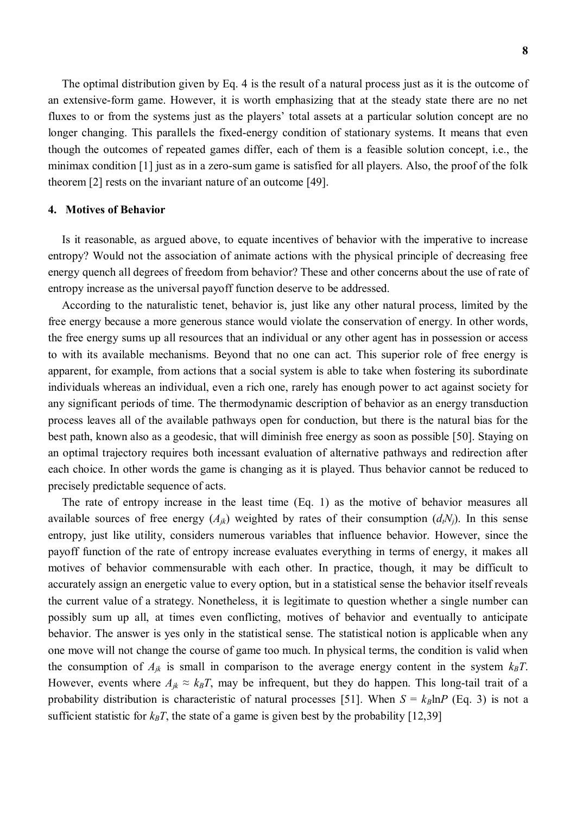The optimal distribution given by Eq. 4 is the result of a natural process just as it is the outcome of an extensive-form game. However, it is worth emphasizing that at the steady state there are no net fluxes to or from the systems just as the players' total assets at a particular solution concept are no longer changing. This parallels the fixed-energy condition of stationary systems. It means that even though the outcomes of repeated games differ, each of them is a feasible solution concept, i.e., the minimax condition [1] just as in a zero-sum game is satisfied for all players. Also, the proof of the folk theorem [2] rests on the invariant nature of an outcome [49].

#### **4. Motives of Behavior**

Is it reasonable, as argued above, to equate incentives of behavior with the imperative to increase entropy? Would not the association of animate actions with the physical principle of decreasing free energy quench all degrees of freedom from behavior? These and other concerns about the use of rate of entropy increase as the universal payoff function deserve to be addressed.

According to the naturalistic tenet, behavior is, just like any other natural process, limited by the free energy because a more generous stance would violate the conservation of energy. In other words, the free energy sums up all resources that an individual or any other agent has in possession or access to with its available mechanisms. Beyond that no one can act. This superior role of free energy is apparent, for example, from actions that a social system is able to take when fostering its subordinate individuals whereas an individual, even a rich one, rarely has enough power to act against society for any significant periods of time. The thermodynamic description of behavior as an energy transduction process leaves all of the available pathways open for conduction, but there is the natural bias for the best path, known also as a geodesic, that will diminish free energy as soon as possible [50]. Staying on an optimal trajectory requires both incessant evaluation of alternative pathways and redirection after each choice. In other words the game is changing as it is played. Thus behavior cannot be reduced to precisely predictable sequence of acts.

The rate of entropy increase in the least time (Eq. 1) as the motive of behavior measures all available sources of free energy  $(A_{ik})$  weighted by rates of their consumption  $(d_iN_i)$ . In this sense entropy, just like utility, considers numerous variables that influence behavior. However, since the payoff function of the rate of entropy increase evaluates everything in terms of energy, it makes all motives of behavior commensurable with each other. In practice, though, it may be difficult to accurately assign an energetic value to every option, but in a statistical sense the behavior itself reveals the current value of a strategy. Nonetheless, it is legitimate to question whether a single number can possibly sum up all, at times even conflicting, motives of behavior and eventually to anticipate behavior. The answer is yes only in the statistical sense. The statistical notion is applicable when any one move will not change the course of game too much. In physical terms, the condition is valid when the consumption of  $A_{jk}$  is small in comparison to the average energy content in the system  $k_B T$ . However, events where  $A_{jk} \approx k_B T$ , may be infrequent, but they do happen. This long-tail trait of a probability distribution is characteristic of natural processes [51]. When  $S = k_B \ln P$  (Eq. 3) is not a sufficient statistic for  $k_B T$ , the state of a game is given best by the probability [12,39]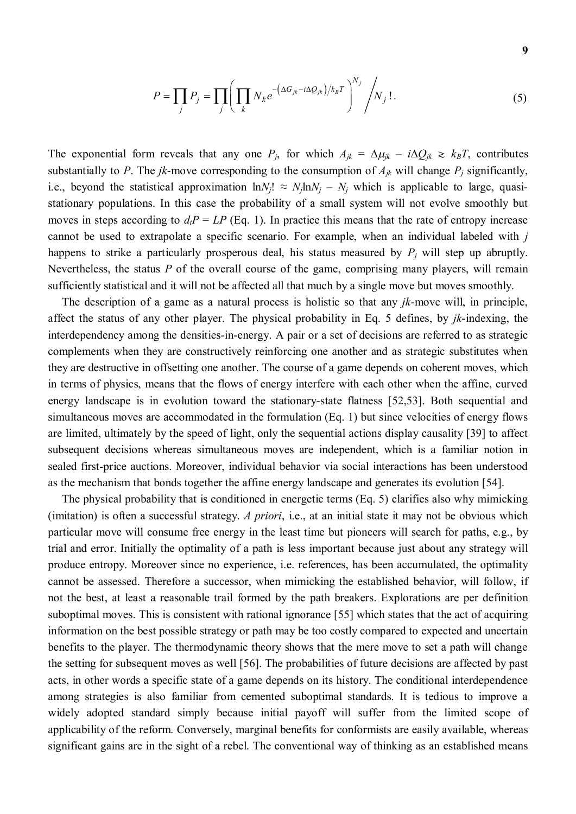$$
P = \prod_{j} P_j = \prod_{j} \left( \prod_{k} N_k e^{-\left(\Delta G_{jk} - i\Delta Q_{jk}\right) / k_B T} \right)^{N_j} / N_j!.
$$
 (5)

The exponential form reveals that any one  $P_j$ , for which  $A_{jk} = \Delta \mu_{jk} - i \Delta Q_{jk} \ge k_B T$ , contributes substantially to *P*. The *jk*-move corresponding to the consumption of  $A_{jk}$  will change  $P_j$  significantly, i.e., beyond the statistical approximation  $ln N_f! \approx N_f ln N_f - N_f$  which is applicable to large, quasistationary populations. In this case the probability of a small system will not evolve smoothly but moves in steps according to  $d_t P = LP$  (Eq. 1). In practice this means that the rate of entropy increase cannot be used to extrapolate a specific scenario. For example, when an individual labeled with *j*  happens to strike a particularly prosperous deal, his status measured by *Pj* will step up abruptly. Nevertheless, the status *P* of the overall course of the game, comprising many players, will remain sufficiently statistical and it will not be affected all that much by a single move but moves smoothly.

The description of a game as a natural process is holistic so that any *jk*-move will, in principle, affect the status of any other player. The physical probability in Eq. 5 defines, by *jk*-indexing, the interdependency among the densities-in-energy. A pair or a set of decisions are referred to as strategic complements when they are constructively reinforcing one another and as strategic substitutes when they are destructive in offsetting one another. The course of a game depends on coherent moves, which in terms of physics, means that the flows of energy interfere with each other when the affine, curved energy landscape is in evolution toward the stationary-state flatness [52,53]. Both sequential and simultaneous moves are accommodated in the formulation (Eq. 1) but since velocities of energy flows are limited, ultimately by the speed of light, only the sequential actions display causality [39] to affect subsequent decisions whereas simultaneous moves are independent, which is a familiar notion in sealed first-price auctions. Moreover, individual behavior via social interactions has been understood as the mechanism that bonds together the affine energy landscape and generates its evolution [54].

The physical probability that is conditioned in energetic terms (Eq. 5) clarifies also why mimicking (imitation) is often a successful strategy. *A priori*, i.e., at an initial state it may not be obvious which particular move will consume free energy in the least time but pioneers will search for paths, e.g., by trial and error. Initially the optimality of a path is less important because just about any strategy will produce entropy. Moreover since no experience, i.e. references, has been accumulated, the optimality cannot be assessed. Therefore a successor, when mimicking the established behavior, will follow, if not the best, at least a reasonable trail formed by the path breakers. Explorations are per definition suboptimal moves. This is consistent with rational ignorance [55] which states that the act of acquiring information on the best possible strategy or path may be too costly compared to expected and uncertain benefits to the player. The thermodynamic theory shows that the mere move to set a path will change the setting for subsequent moves as well [56]. The probabilities of future decisions are affected by past acts, in other words a specific state of a game depends on its history. The conditional interdependence among strategies is also familiar from cemented suboptimal standards. It is tedious to improve a widely adopted standard simply because initial payoff will suffer from the limited scope of applicability of the reform. Conversely, marginal benefits for conformists are easily available, whereas significant gains are in the sight of a rebel. The conventional way of thinking as an established means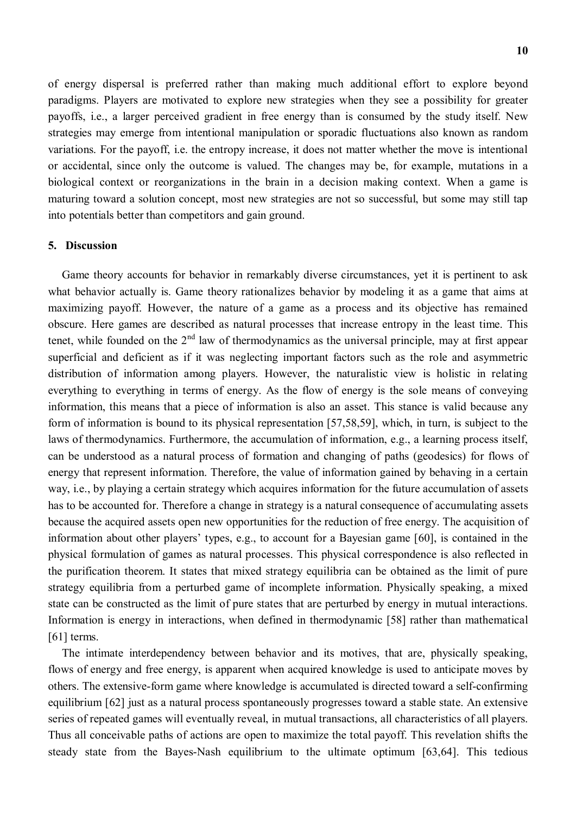of energy dispersal is preferred rather than making much additional effort to explore beyond paradigms. Players are motivated to explore new strategies when they see a possibility for greater payoffs, i.e., a larger perceived gradient in free energy than is consumed by the study itself. New strategies may emerge from intentional manipulation or sporadic fluctuations also known as random variations. For the payoff, i.e. the entropy increase, it does not matter whether the move is intentional or accidental, since only the outcome is valued. The changes may be, for example, mutations in a biological context or reorganizations in the brain in a decision making context. When a game is maturing toward a solution concept, most new strategies are not so successful, but some may still tap into potentials better than competitors and gain ground.

#### **5. Discussion**

Game theory accounts for behavior in remarkably diverse circumstances, yet it is pertinent to ask what behavior actually is. Game theory rationalizes behavior by modeling it as a game that aims at maximizing payoff. However, the nature of a game as a process and its objective has remained obscure. Here games are described as natural processes that increase entropy in the least time. This tenet, while founded on the 2<sup>nd</sup> law of thermodynamics as the universal principle, may at first appear superficial and deficient as if it was neglecting important factors such as the role and asymmetric distribution of information among players. However, the naturalistic view is holistic in relating everything to everything in terms of energy. As the flow of energy is the sole means of conveying information, this means that a piece of information is also an asset. This stance is valid because any form of information is bound to its physical representation [57,58,59], which, in turn, is subject to the laws of thermodynamics. Furthermore, the accumulation of information, e.g., a learning process itself, can be understood as a natural process of formation and changing of paths (geodesics) for flows of energy that represent information. Therefore, the value of information gained by behaving in a certain way, i.e., by playing a certain strategy which acquires information for the future accumulation of assets has to be accounted for. Therefore a change in strategy is a natural consequence of accumulating assets because the acquired assets open new opportunities for the reduction of free energy. The acquisition of information about other players' types, e.g., to account for a Bayesian game [60], is contained in the physical formulation of games as natural processes. This physical correspondence is also reflected in the purification theorem. It states that mixed strategy equilibria can be obtained as the limit of pure strategy equilibria from a perturbed game of incomplete information. Physically speaking, a mixed state can be constructed as the limit of pure states that are perturbed by energy in mutual interactions. Information is energy in interactions, when defined in thermodynamic [58] rather than mathematical [61] terms.

The intimate interdependency between behavior and its motives, that are, physically speaking, flows of energy and free energy, is apparent when acquired knowledge is used to anticipate moves by others. The extensive-form game where knowledge is accumulated is directed toward a self-confirming equilibrium [62] just as a natural process spontaneously progresses toward a stable state. An extensive series of repeated games will eventually reveal, in mutual transactions, all characteristics of all players. Thus all conceivable paths of actions are open to maximize the total payoff. This revelation shifts the steady state from the Bayes-Nash equilibrium to the ultimate optimum [63,64]. This tedious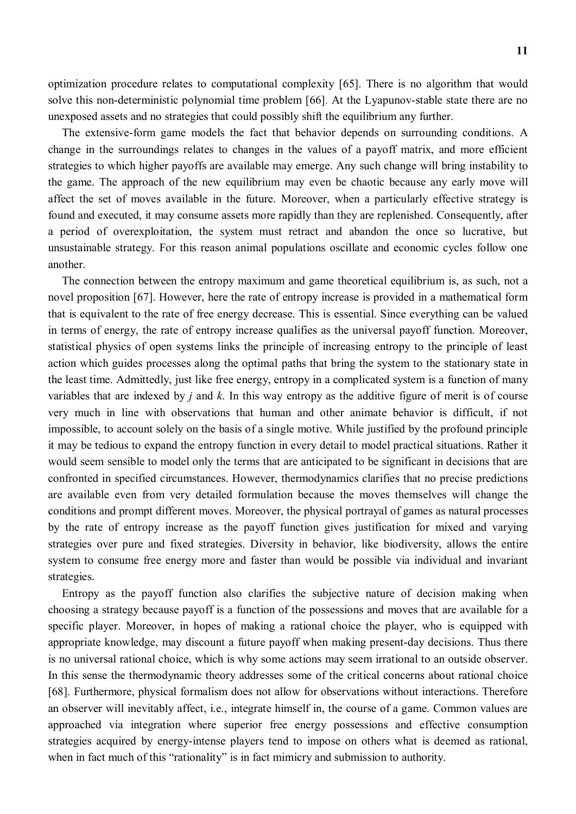optimization procedure relates to computational complexity [65]. There is no algorithm that would solve this non-deterministic polynomial time problem [66]. At the Lyapunov-stable state there are no unexposed assets and no strategies that could possibly shift the equilibrium any further.

The extensive-form game models the fact that behavior depends on surrounding conditions. A change in the surroundings relates to changes in the values of a payoff matrix, and more efficient strategies to which higher payoffs are available may emerge. Any such change will bring instability to the game. The approach of the new equilibrium may even be chaotic because any early move will affect the set of moves available in the future. Moreover, when a particularly effective strategy is found and executed, it may consume assets more rapidly than they are replenished. Consequently, after a period of overexploitation, the system must retract and abandon the once so lucrative, but unsustainable strategy. For this reason animal populations oscillate and economic cycles follow one another.

The connection between the entropy maximum and game theoretical equilibrium is, as such, not a novel proposition [67]. However, here the rate of entropy increase is provided in a mathematical form that is equivalent to the rate of free energy decrease. This is essential. Since everything can be valued in terms of energy, the rate of entropy increase qualifies as the universal payoff function. Moreover, statistical physics of open systems links the principle of increasing entropy to the principle of least action which guides processes along the optimal paths that bring the system to the stationary state in the least time. Admittedly, just like free energy, entropy in a complicated system is a function of many variables that are indexed by *j* and *k*. In this way entropy as the additive figure of merit is of course very much in line with observations that human and other animate behavior is difficult, if not impossible, to account solely on the basis of a single motive. While justified by the profound principle it may be tedious to expand the entropy function in every detail to model practical situations. Rather it would seem sensible to model only the terms that are anticipated to be significant in decisions that are confronted in specified circumstances. However, thermodynamics clarifies that no precise predictions are available even from very detailed formulation because the moves themselves will change the conditions and prompt different moves. Moreover, the physical portrayal of games as natural processes by the rate of entropy increase as the payoff function gives justification for mixed and varying strategies over pure and fixed strategies. Diversity in behavior, like biodiversity, allows the entire system to consume free energy more and faster than would be possible via individual and invariant strategies.

Entropy as the payoff function also clarifies the subjective nature of decision making when choosing a strategy because payoff is a function of the possessions and moves that are available for a specific player. Moreover, in hopes of making a rational choice the player, who is equipped with appropriate knowledge, may discount a future payoff when making present-day decisions. Thus there is no universal rational choice, which is why some actions may seem irrational to an outside observer. In this sense the thermodynamic theory addresses some of the critical concerns about rational choice [68]. Furthermore, physical formalism does not allow for observations without interactions. Therefore an observer will inevitably affect, i.e., integrate himself in, the course of a game. Common values are approached via integration where superior free energy possessions and effective consumption strategies acquired by energy-intense players tend to impose on others what is deemed as rational, when in fact much of this "rationality" is in fact mimicry and submission to authority.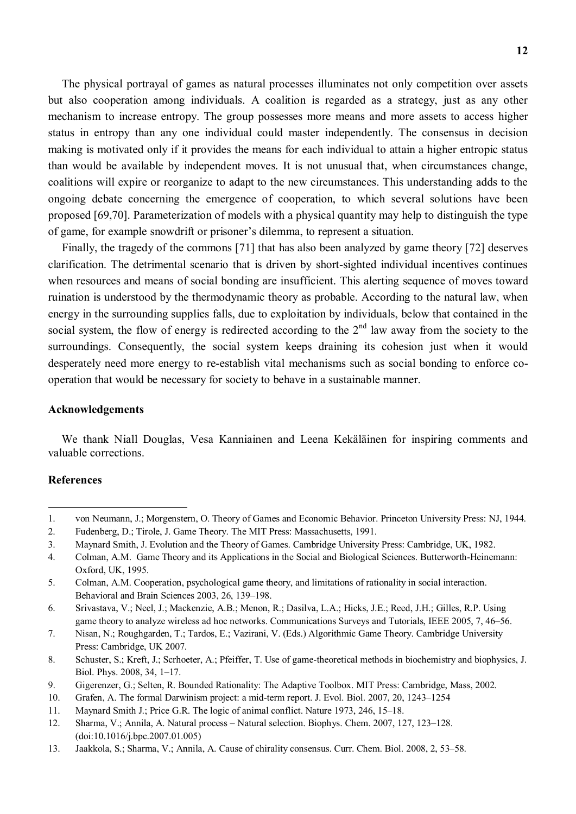The physical portrayal of games as natural processes illuminates not only competition over assets but also cooperation among individuals. A coalition is regarded as a strategy, just as any other mechanism to increase entropy. The group possesses more means and more assets to access higher status in entropy than any one individual could master independently. The consensus in decision making is motivated only if it provides the means for each individual to attain a higher entropic status than would be available by independent moves. It is not unusual that, when circumstances change, coalitions will expire or reorganize to adapt to the new circumstances. This understanding adds to the ongoing debate concerning the emergence of cooperation, to which several solutions have been proposed [69,70]. Parameterization of models with a physical quantity may help to distinguish the type of game, for example snowdrift or prisoner's dilemma, to represent a situation.

Finally, the tragedy of the commons [71] that has also been analyzed by game theory [72] deserves clarification. The detrimental scenario that is driven by short-sighted individual incentives continues when resources and means of social bonding are insufficient. This alerting sequence of moves toward ruination is understood by the thermodynamic theory as probable. According to the natural law, when energy in the surrounding supplies falls, due to exploitation by individuals, below that contained in the social system, the flow of energy is redirected according to the  $2<sup>nd</sup>$  law away from the society to the surroundings. Consequently, the social system keeps draining its cohesion just when it would desperately need more energy to re-establish vital mechanisms such as social bonding to enforce cooperation that would be necessary for society to behave in a sustainable manner.

## **Acknowledgements**

We thank Niall Douglas, Vesa Kanniainen and Leena Kekäläinen for inspiring comments and valuable corrections.

#### **References**

<sup>1.</sup> von Neumann, J.; Morgenstern, O. Theory of Games and Economic Behavior. Princeton University Press: NJ, 1944.

<sup>2.</sup> Fudenberg, D.; Tirole, J. Game Theory. The MIT Press: Massachusetts, 1991.

<sup>3.</sup> Maynard Smith, J. Evolution and the Theory of Games. Cambridge University Press: Cambridge, UK, 1982.

<sup>4.</sup> Colman, A.M. Game Theory and its Applications in the Social and Biological Sciences. Butterworth-Heinemann: Oxford, UK, 1995.

<sup>5.</sup> Colman, A.M. Cooperation, psychological game theory, and limitations of rationality in social interaction. Behavioral and Brain Sciences 2003, 26, 139–198.

<sup>6.</sup> Srivastava, V.; Neel, J.; Mackenzie, A.B.; Menon, R.; Dasilva, L.A.; Hicks, J.E.; Reed, J.H.; Gilles, R.P. Using game theory to analyze wireless ad hoc networks. Communications Surveys and Tutorials, IEEE 2005, 7, 46–56.

<sup>7.</sup> Nisan, N.; Roughgarden, T.; Tardos, E.; Vazirani, V. (Eds.) Algorithmic Game Theory. Cambridge University Press: Cambridge, UK 2007.

<sup>8.</sup> Schuster, S.; Kreft, J.; Scrhoeter, A.; Pfeiffer, T. Use of game-theoretical methods in biochemistry and biophysics, J. Biol. Phys. 2008, 34, 1–17.

<sup>9.</sup> Gigerenzer, G.; Selten, R. Bounded Rationality: The Adaptive Toolbox. MIT Press: Cambridge, Mass, 2002.

<sup>10.</sup> Grafen, A. The formal Darwinism project: a mid-term report. J. Evol. Biol. 2007, 20, 1243–1254

<sup>11.</sup> Maynard Smith J.; Price G.R. The logic of animal conflict. Nature 1973, 246, 15–18.

<sup>12.</sup> Sharma, V.; Annila, A. Natural process – Natural selection. Biophys. Chem. 2007, 127, 123–128. (doi:10.1016/j.bpc.2007.01.005)

<sup>13.</sup> Jaakkola, S.; Sharma, V.; Annila, A. Cause of chirality consensus. Curr. Chem. Biol. 2008, 2, 53–58.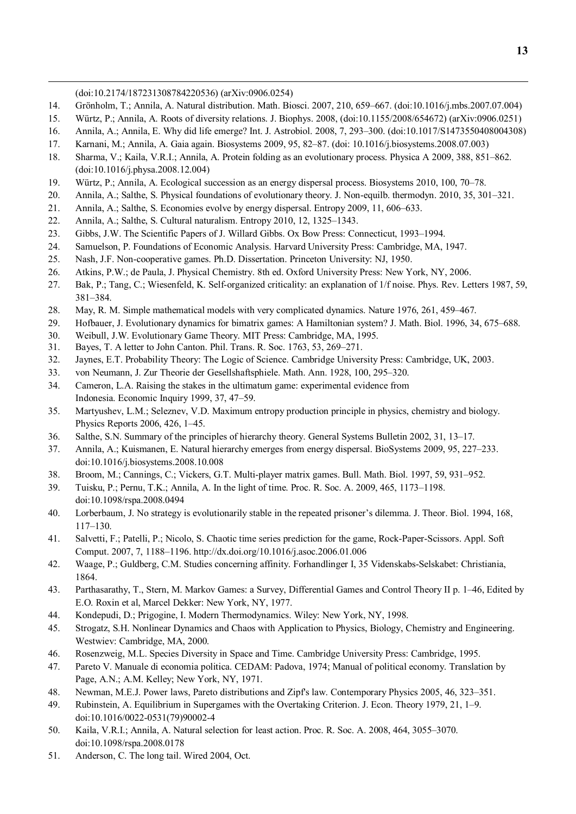(doi:10.2174/187231308784220536) (arXiv:0906.0254)

- 14. Grönholm, T.; Annila, A. Natural distribution. Math. Biosci. 2007, 210, 659–667. (doi:10.1016/j.mbs.2007.07.004)
- 15. Würtz, P.; Annila, A. Roots of diversity relations. J. Biophys. 2008, (doi:10.1155/2008/654672) (arXiv:0906.0251)
- 16. Annila, A.; Annila, E. Why did life emerge? Int. J. Astrobiol. 2008, 7, 293–300. (doi:10.1017/S1473550408004308)
- 17. Karnani, M.; Annila, A. Gaia again. Biosystems 2009, 95, 82–87. (doi: 10.1016/j.biosystems.2008.07.003)
- 18. Sharma, V.; Kaila, V.R.I.; Annila, A. Protein folding as an evolutionary process. Physica A 2009, 388, 851–862. (doi:10.1016/j.physa.2008.12.004)
- 19. Würtz, P.; Annila, A. Ecological succession as an energy dispersal process. Biosystems 2010, 100, 70–78.
- 20. Annila, A.; Salthe, S. Physical foundations of evolutionary theory. J. Non-equilb. thermodyn. 2010, 35, 301–321.
- 21. Annila, A.; Salthe, S. Economies evolve by energy dispersal. Entropy 2009, 11, 606–633.
- 22. Annila, A.; Salthe, S. Cultural naturalism. Entropy 2010, 12, 1325–1343.
- 23. Gibbs, J.W. The Scientific Papers of J. Willard Gibbs. Ox Bow Press: Connecticut, 1993–1994.
- 24. Samuelson, P. Foundations of Economic Analysis. Harvard University Press: Cambridge, MA, 1947.
- 25. Nash, J.F. Non-cooperative games. Ph.D. Dissertation. Princeton University: NJ, 1950.
- 26. Atkins, P.W.; de Paula, J. Physical Chemistry. 8th ed. Oxford University Press: New York, NY, 2006.
- 27. Bak, P.; Tang, C.; Wiesenfeld, K. Self-organized criticality: an explanation of 1/f noise. Phys. Rev. Letters 1987, 59, 381–384.
- 28. May, R. M. Simple mathematical models with very complicated dynamics. Nature 1976, 261, 459–467.
- 29. Hofbauer, J. Evolutionary dynamics for bimatrix games: A Hamiltonian system? J. Math. Biol. 1996, 34, 675–688.
- 30. Weibull, J.W. Evolutionary Game Theory. MIT Press: Cambridge, MA, 1995.
- 31. Bayes, T. A letter to John Canton. Phil. Trans. R. Soc. 1763, 53, 269–271.
- 32. Jaynes, E.T. Probability Theory: The Logic of Science. Cambridge University Press: Cambridge, UK, 2003.
- 33. von Neumann, J. Zur Theorie der Gesellshaftsphiele. Math. Ann. 1928, 100, 295–320.
- 34. Cameron, L.A. Raising the stakes in the ultimatum game: experimental evidence from Indonesia. Economic Inquiry 1999, 37, 47–59.
- 35. Martyushev, L.M.; Seleznev, V.D. Maximum entropy production principle in physics, chemistry and biology. Physics Reports 2006, 426, 1–45.
- 36. Salthe, S.N. Summary of the principles of hierarchy theory. General Systems Bulletin 2002, 31, 13–17.
- 37. Annila, A.; Kuismanen, E. Natural hierarchy emerges from energy dispersal. BioSystems 2009, 95, 227–233. doi:10.1016/j.biosystems.2008.10.008
- 38. Broom, M.; Cannings, C.; Vickers, G.T. Multi-player matrix games. Bull. Math. Biol. 1997, 59, 931–952.
- 39. Tuisku, P.; Pernu, T.K.; Annila, A. In the light of time. Proc. R. Soc. A. 2009, 465, 1173–1198. doi:10.1098/rspa.2008.0494
- 40. Lorberbaum, J. No strategy is evolutionarily stable in the repeated prisoner's dilemma. J. Theor. Biol. 1994, 168, 117–130.
- 41. Salvetti, F.; Patelli, P.; Nicolo, S. Chaotic time series prediction for the game, Rock-Paper-Scissors. Appl. Soft Comput. 2007, 7, 1188–1196. http://dx.doi.org/10.1016/j.asoc.2006.01.006
- 42. Waage, P.; Guldberg, C.M. Studies concerning affinity. Forhandlinger I, 35 Videnskabs-Selskabet: Christiania, 1864.
- 43. Parthasarathy, T., Stern, M. Markov Games: a Survey, Differential Games and Control Theory II p. 1–46, Edited by E.O. Roxin et al, Marcel Dekker: New York, NY, 1977.
- 44. Kondepudi, D.; Prigogine, I. Modern Thermodynamics. Wiley: New York, NY, 1998.
- 45. Strogatz, S.H. Nonlinear Dynamics and Chaos with Application to Physics, Biology, Chemistry and Engineering. Westwiev: Cambridge, MA, 2000.
- 46. Rosenzweig, M.L. Species Diversity in Space and Time. Cambridge University Press: Cambridge, 1995.
- 47. Pareto V. Manuale di economia politica. CEDAM: Padova, 1974; Manual of political economy. Translation by Page, A.N.; A.M. Kelley; New York, NY, 1971.
- 48. Newman, M.E.J. Power laws, Pareto distributions and Zipf's law. Contemporary Physics 2005, 46, 323–351.
- 49. Rubinstein, A. Equilibrium in Supergames with the Overtaking Criterion. J. Econ. Theory 1979, 21, 1–9. doi:10.1016/0022-0531(79)90002-4
- 50. Kaila, V.R.I.; Annila, A. Natural selection for least action. Proc. R. Soc. A. 2008, 464, 3055–3070. doi:10.1098/rspa.2008.0178
- 51. Anderson, C. The long tail. Wired 2004, Oct.